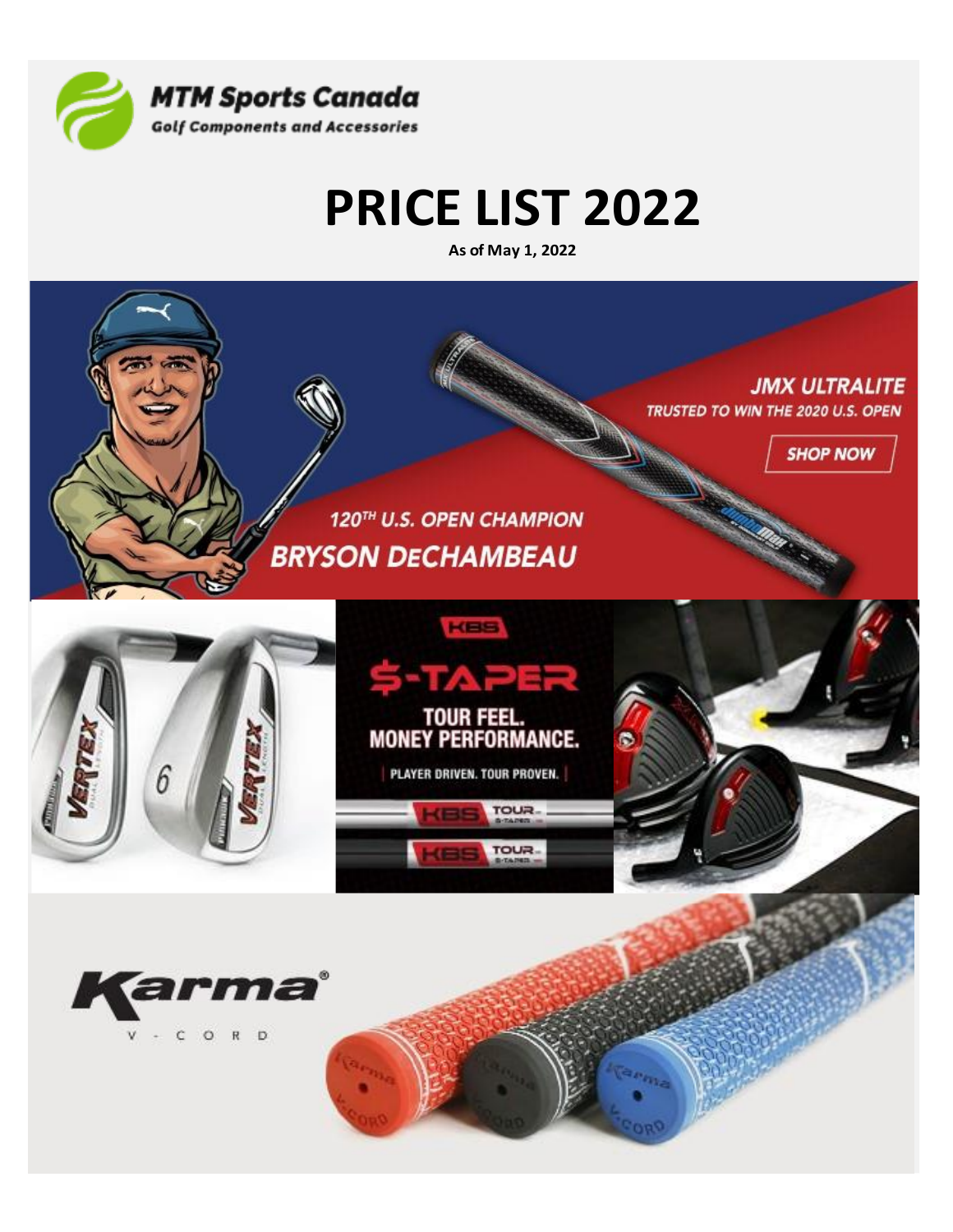

# **PRICE LIST 2022**

As of May 1, 2022

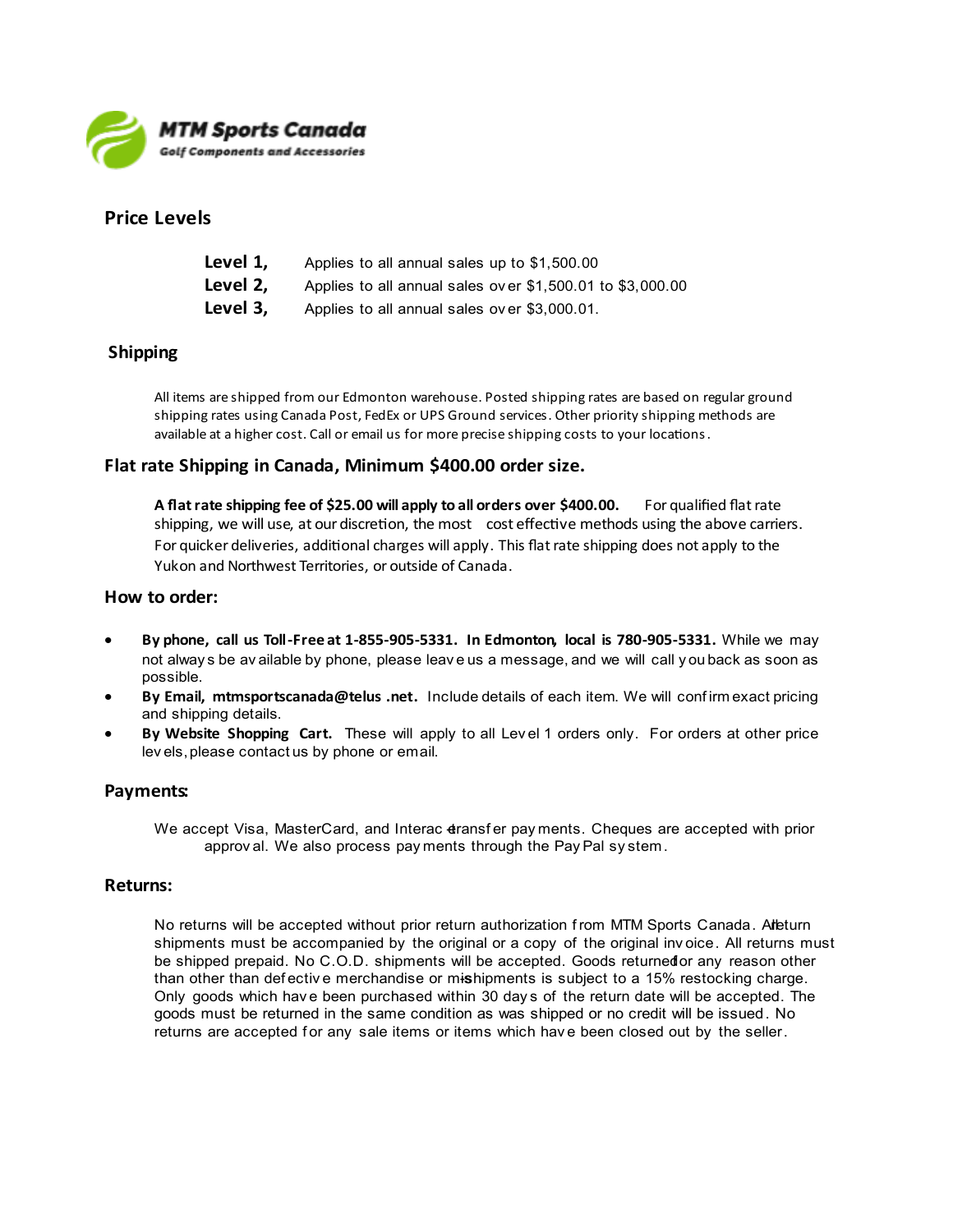

### **Price Levels**

| Level 1, | Applies to all annual sales up to \$1,500.00              |
|----------|-----------------------------------------------------------|
| Level 2, | Applies to all annual sales over \$1,500.01 to \$3,000.00 |
| Level 3, | Applies to all annual sales over \$3,000.01.              |

### **Shipping**

All items are shipped from our Edmonton warehouse. Posted shipping rates are based on regular ground shipping rates using Canada Post, FedEx or UPS Ground services. Other priority shipping methods are available at a higher cost. Call or email us for more precise shipping costs to your locations.

### Flat rate Shipping in Canada, Minimum \$400.00 order size.

A flat rate shipping fee of \$25.00 will apply to all orders over \$400.00. For qualified flat rate shipping, we will use, at our discretion, the most cost effective methods using the above carriers. For quicker deliveries, additional charges will apply. This flat rate shipping does not apply to the Yukon and Northwest Territories, or outside of Canada.

#### How to order:

- By phone, call us Toll-Free at 1-855-905-5331. In Edmonton, local is 780-905-5331. While we may not always be available by phone, please leave us a message, and we will call you back as soon as possible.
- By Email, mtmsportscanada@telus .net. Include details of each item. We will confirm exact pricing and shipping details.
- By Website Shopping Cart. These will apply to all Level 1 orders only. For orders at other price levels, please contactus by phone or email.

### Payments:

We accept Visa, MasterCard, and Interac dransfer payments. Cheques are accepted with prior approval. We also process payments through the Pay Pal system.

#### **Returns:**

No returns will be accepted without prior return authorization from MTM Sports Canada. Alleturn shipments must be accompanied by the original or a copy of the original invoice. All returns must be shipped prepaid. No C.O.D. shipments will be accepted. Goods returned or any reason other than other than defective merchandise or mishipments is subject to a 15% restocking charge. Only goods which have been purchased within 30 days of the return date will be accepted. The goods must be returned in the same condition as was shipped or no credit will be issued. No returns are accepted for any sale items or items which have been closed out by the seller.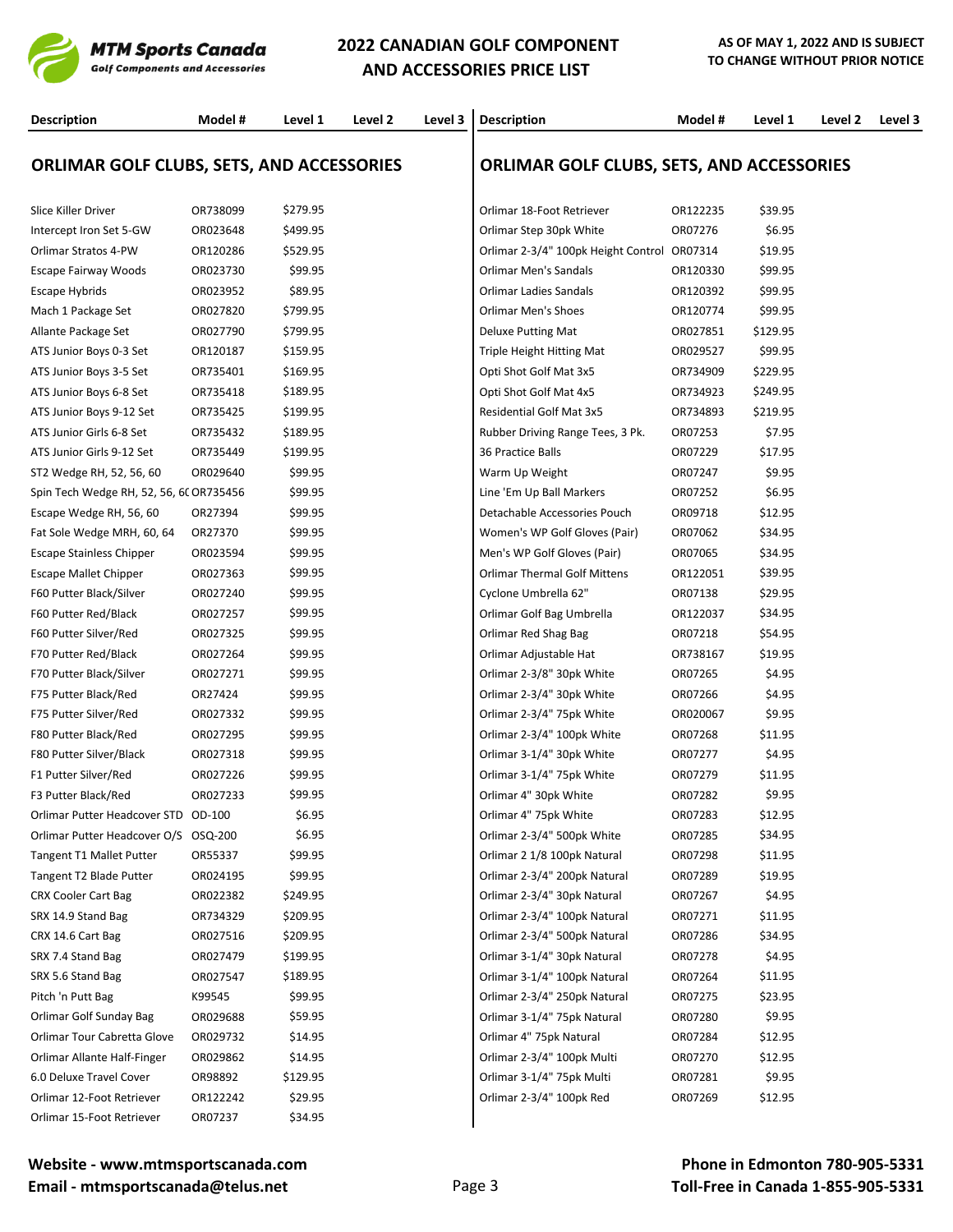

# **2022 CANADIAN GOLF COMPONENT AND ACCESSORIES PRICE LIST**

| <b>Description</b>                               | Model #  | Level 1  | Level 2 | Level 3 | <b>Description</b>                               | Model #  | Level 1  | Level 2 | Level 3 |
|--------------------------------------------------|----------|----------|---------|---------|--------------------------------------------------|----------|----------|---------|---------|
| <b>ORLIMAR GOLF CLUBS, SETS, AND ACCESSORIES</b> |          |          |         |         | <b>ORLIMAR GOLF CLUBS, SETS, AND ACCESSORIES</b> |          |          |         |         |
| Slice Killer Driver                              | OR738099 | \$279.95 |         |         | Orlimar 18-Foot Retriever                        | OR122235 | \$39.95  |         |         |
| Intercept Iron Set 5-GW                          | OR023648 | \$499.95 |         |         | Orlimar Step 30pk White                          | OR07276  | \$6.95   |         |         |
| Orlimar Stratos 4-PW                             | OR120286 | \$529.95 |         |         | Orlimar 2-3/4" 100pk Height Control OR07314      |          | \$19.95  |         |         |
| <b>Escape Fairway Woods</b>                      | OR023730 | \$99.95  |         |         | Orlimar Men's Sandals                            | OR120330 | \$99.95  |         |         |
| Escape Hybrids                                   | OR023952 | \$89.95  |         |         | Orlimar Ladies Sandals                           | OR120392 | \$99.95  |         |         |
| Mach 1 Package Set                               | OR027820 | \$799.95 |         |         | <b>Orlimar Men's Shoes</b>                       | OR120774 | \$99.95  |         |         |
| Allante Package Set                              | OR027790 | \$799.95 |         |         | <b>Deluxe Putting Mat</b>                        | OR027851 | \$129.95 |         |         |
| ATS Junior Boys 0-3 Set                          | OR120187 | \$159.95 |         |         | Triple Height Hitting Mat                        | OR029527 | \$99.95  |         |         |
| ATS Junior Boys 3-5 Set                          | OR735401 | \$169.95 |         |         | Opti Shot Golf Mat 3x5                           | OR734909 | \$229.95 |         |         |
| ATS Junior Boys 6-8 Set                          | OR735418 | \$189.95 |         |         | Opti Shot Golf Mat 4x5                           | OR734923 | \$249.95 |         |         |
| ATS Junior Boys 9-12 Set                         | OR735425 | \$199.95 |         |         | Residential Golf Mat 3x5                         | OR734893 | \$219.95 |         |         |
| ATS Junior Girls 6-8 Set                         | OR735432 | \$189.95 |         |         | Rubber Driving Range Tees, 3 Pk.                 | OR07253  | \$7.95   |         |         |
| ATS Junior Girls 9-12 Set                        | OR735449 | \$199.95 |         |         | 36 Practice Balls                                | OR07229  | \$17.95  |         |         |
| ST2 Wedge RH, 52, 56, 60                         | OR029640 | \$99.95  |         |         | Warm Up Weight                                   | OR07247  | \$9.95   |         |         |
| Spin Tech Wedge RH, 52, 56, 6( OR735456          |          | \$99.95  |         |         | Line 'Em Up Ball Markers                         | OR07252  | \$6.95   |         |         |
| Escape Wedge RH, 56, 60                          | OR27394  | \$99.95  |         |         | Detachable Accessories Pouch                     | OR09718  | \$12.95  |         |         |
| Fat Sole Wedge MRH, 60, 64                       | OR27370  | \$99.95  |         |         | Women's WP Golf Gloves (Pair)                    | OR07062  | \$34.95  |         |         |
| <b>Escape Stainless Chipper</b>                  | OR023594 | \$99.95  |         |         | Men's WP Golf Gloves (Pair)                      | OR07065  | \$34.95  |         |         |
| <b>Escape Mallet Chipper</b>                     | OR027363 | \$99.95  |         |         | <b>Orlimar Thermal Golf Mittens</b>              | OR122051 | \$39.95  |         |         |
| F60 Putter Black/Silver                          | OR027240 | \$99.95  |         |         | Cyclone Umbrella 62"                             | OR07138  | \$29.95  |         |         |
| F60 Putter Red/Black                             | OR027257 | \$99.95  |         |         | Orlimar Golf Bag Umbrella                        | OR122037 | \$34.95  |         |         |
| F60 Putter Silver/Red                            | OR027325 | \$99.95  |         |         | Orlimar Red Shag Bag                             | OR07218  | \$54.95  |         |         |
| F70 Putter Red/Black                             | OR027264 | \$99.95  |         |         | Orlimar Adjustable Hat                           | OR738167 | \$19.95  |         |         |
| F70 Putter Black/Silver                          | OR027271 | \$99.95  |         |         | Orlimar 2-3/8" 30pk White                        | OR07265  | \$4.95   |         |         |
| F75 Putter Black/Red                             | OR27424  | \$99.95  |         |         | Orlimar 2-3/4" 30pk White                        | OR07266  | \$4.95   |         |         |
| F75 Putter Silver/Red                            | OR027332 | \$99.95  |         |         | Orlimar 2-3/4" 75pk White                        | OR020067 | \$9.95   |         |         |
| F80 Putter Black/Red                             | OR027295 | \$99.95  |         |         | Orlimar 2-3/4" 100pk White                       | OR07268  | \$11.95  |         |         |
| F80 Putter Silver/Black                          | OR027318 | \$99.95  |         |         | Orlimar 3-1/4" 30pk White                        | OR07277  | \$4.95   |         |         |
| F1 Putter Silver/Red                             | OR027226 | \$99.95  |         |         | Orlimar 3-1/4" 75pk White                        | OR07279  | \$11.95  |         |         |
| F3 Putter Black/Red                              | OR027233 | \$99.95  |         |         | Orlimar 4" 30pk White                            | OR07282  | \$9.95   |         |         |
| Orlimar Putter Headcover STD OD-100              |          | \$6.95   |         |         | Orlimar 4" 75pk White                            | OR07283  | \$12.95  |         |         |
| Orlimar Putter Headcover O/S OSQ-200             |          | \$6.95   |         |         | Orlimar 2-3/4" 500pk White                       | OR07285  | \$34.95  |         |         |
| <b>Tangent T1 Mallet Putter</b>                  | OR55337  | \$99.95  |         |         | Orlimar 2 1/8 100pk Natural                      | OR07298  | \$11.95  |         |         |
| Tangent T2 Blade Putter                          | OR024195 | \$99.95  |         |         | Orlimar 2-3/4" 200pk Natural                     | OR07289  | \$19.95  |         |         |
| <b>CRX Cooler Cart Bag</b>                       | OR022382 | \$249.95 |         |         | Orlimar 2-3/4" 30pk Natural                      | OR07267  | \$4.95   |         |         |
| SRX 14.9 Stand Bag                               | OR734329 | \$209.95 |         |         | Orlimar 2-3/4" 100pk Natural                     | OR07271  | \$11.95  |         |         |
| CRX 14.6 Cart Bag                                | OR027516 | \$209.95 |         |         | Orlimar 2-3/4" 500pk Natural                     | OR07286  | \$34.95  |         |         |
| SRX 7.4 Stand Bag                                | OR027479 | \$199.95 |         |         | Orlimar 3-1/4" 30pk Natural                      | OR07278  | \$4.95   |         |         |
| SRX 5.6 Stand Bag                                | OR027547 | \$189.95 |         |         | Orlimar 3-1/4" 100pk Natural                     | OR07264  | \$11.95  |         |         |
| Pitch 'n Putt Bag                                | K99545   | \$99.95  |         |         | Orlimar 2-3/4" 250pk Natural                     | OR07275  | \$23.95  |         |         |
| Orlimar Golf Sunday Bag                          | OR029688 | \$59.95  |         |         | Orlimar 3-1/4" 75pk Natural                      | OR07280  | \$9.95   |         |         |
| Orlimar Tour Cabretta Glove                      | OR029732 | \$14.95  |         |         | Orlimar 4" 75pk Natural                          | OR07284  | \$12.95  |         |         |
| Orlimar Allante Half-Finger                      | OR029862 | \$14.95  |         |         | Orlimar 2-3/4" 100pk Multi                       | OR07270  | \$12.95  |         |         |
| 6.0 Deluxe Travel Cover                          | OR98892  | \$129.95 |         |         | Orlimar 3-1/4" 75pk Multi                        | OR07281  | \$9.95   |         |         |
| Orlimar 12-Foot Retriever                        | OR122242 | \$29.95  |         |         | Orlimar 2-3/4" 100pk Red                         | OR07269  | \$12.95  |         |         |
| Orlimar 15-Foot Retriever                        | OR07237  | \$34.95  |         |         |                                                  |          |          |         |         |
|                                                  |          |          |         |         |                                                  |          |          |         |         |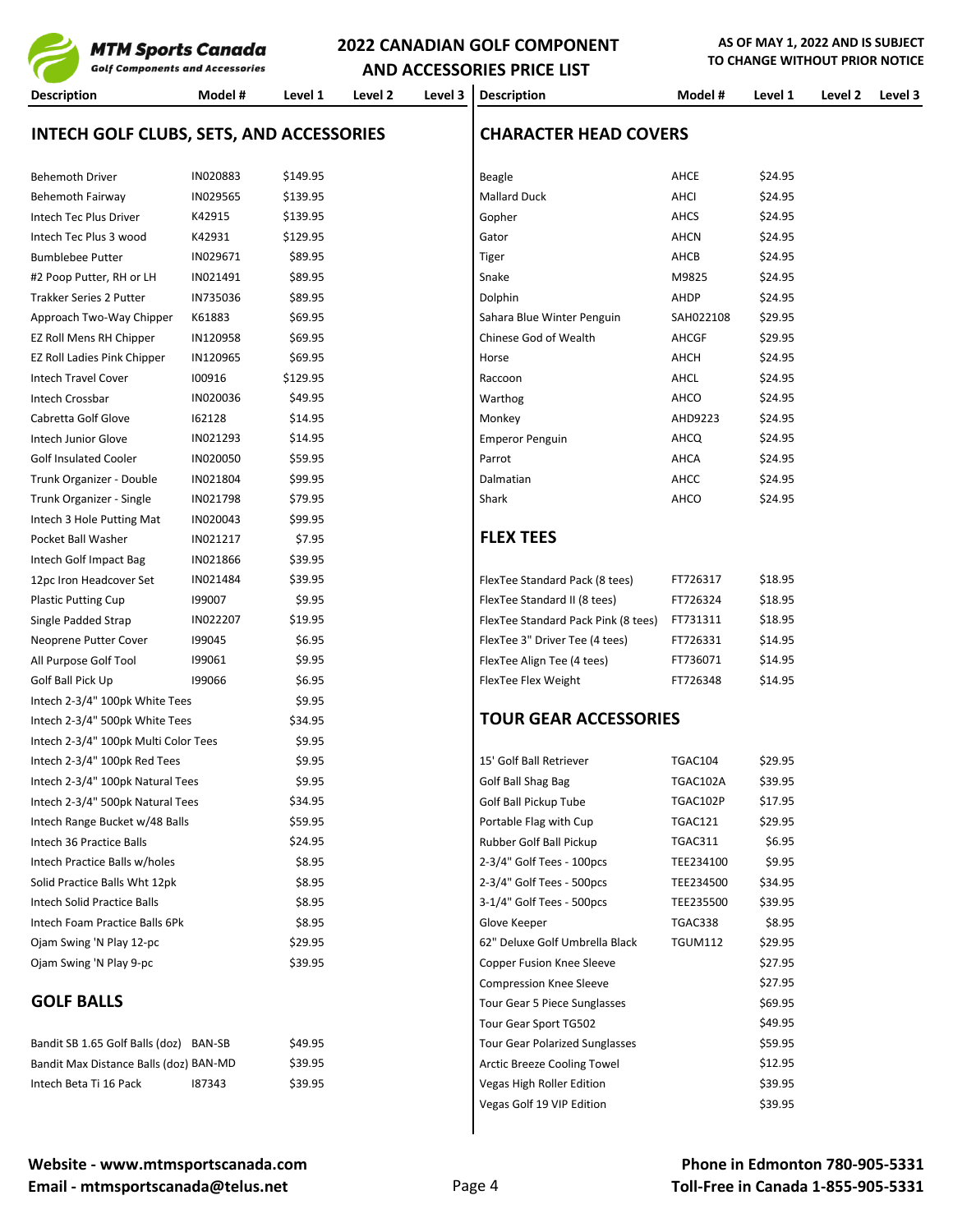| гі і гі әрогы байний<br><b>Golf Components and Accessories</b> |          | <b>AND ACCESSORIES PRICE LIST</b> |         |         | TO CHANGE WITHOUT PRIOR NOTICE                    |                |         |         |         |
|----------------------------------------------------------------|----------|-----------------------------------|---------|---------|---------------------------------------------------|----------------|---------|---------|---------|
| <b>Description</b>                                             | Model #  | Level 1                           | Level 2 | Level 3 | <b>Description</b>                                | Model #        | Level 1 | Level 2 | Level 3 |
| <b>INTECH GOLF CLUBS, SETS, AND ACCESSORIES</b>                |          |                                   |         |         | <b>CHARACTER HEAD COVERS</b>                      |                |         |         |         |
| <b>Behemoth Driver</b>                                         | IN020883 | \$149.95                          |         |         | Beagle                                            | AHCE           | \$24.95 |         |         |
| Behemoth Fairway                                               | IN029565 | \$139.95                          |         |         | <b>Mallard Duck</b>                               | AHCI           | \$24.95 |         |         |
| Intech Tec Plus Driver                                         | K42915   | \$139.95                          |         |         | Gopher                                            | AHCS           | \$24.95 |         |         |
| Intech Tec Plus 3 wood                                         | K42931   | \$129.95                          |         |         | Gator                                             | AHCN           | \$24.95 |         |         |
| <b>Bumblebee Putter</b>                                        | IN029671 | \$89.95                           |         |         | Tiger                                             | AHCB           | \$24.95 |         |         |
| #2 Poop Putter, RH or LH                                       | IN021491 | \$89.95                           |         |         | Snake                                             | M9825          | \$24.95 |         |         |
| Trakker Series 2 Putter                                        | IN735036 | \$89.95                           |         |         | Dolphin                                           | AHDP           | \$24.95 |         |         |
| Approach Two-Way Chipper                                       | K61883   | \$69.95                           |         |         | Sahara Blue Winter Penguin                        | SAH022108      | \$29.95 |         |         |
| EZ Roll Mens RH Chipper                                        | IN120958 | \$69.95                           |         |         | Chinese God of Wealth                             | AHCGF          | \$29.95 |         |         |
| EZ Roll Ladies Pink Chipper                                    | IN120965 | \$69.95                           |         |         | Horse                                             | AHCH           | \$24.95 |         |         |
| <b>Intech Travel Cover</b>                                     | 100916   | \$129.95                          |         |         | Raccoon                                           | AHCL           | \$24.95 |         |         |
| Intech Crossbar                                                | IN020036 | \$49.95                           |         |         | Warthog                                           | AHCO           | \$24.95 |         |         |
| Cabretta Golf Glove                                            | 162128   | \$14.95                           |         |         | Monkey                                            | AHD9223        | \$24.95 |         |         |
| Intech Junior Glove                                            | IN021293 | \$14.95                           |         |         | <b>Emperor Penguin</b>                            | AHCQ           | \$24.95 |         |         |
| <b>Golf Insulated Cooler</b>                                   | IN020050 | \$59.95                           |         |         | Parrot                                            | AHCA           | \$24.95 |         |         |
| Trunk Organizer - Double                                       | IN021804 | \$99.95                           |         |         | Dalmatian                                         | AHCC           | \$24.95 |         |         |
| Trunk Organizer - Single                                       | IN021798 | \$79.95                           |         |         | Shark                                             | AHCO           | \$24.95 |         |         |
| Intech 3 Hole Putting Mat                                      | IN020043 | \$99.95                           |         |         |                                                   |                |         |         |         |
| Pocket Ball Washer                                             | IN021217 | \$7.95                            |         |         | <b>FLEX TEES</b>                                  |                |         |         |         |
| Intech Golf Impact Bag                                         | IN021866 | \$39.95                           |         |         |                                                   |                |         |         |         |
| 12pc Iron Headcover Set                                        | IN021484 | \$39.95                           |         |         | FlexTee Standard Pack (8 tees)                    | FT726317       | \$18.95 |         |         |
| <b>Plastic Putting Cup</b>                                     | 199007   | \$9.95                            |         |         | FlexTee Standard II (8 tees)                      | FT726324       | \$18.95 |         |         |
| Single Padded Strap                                            | IN022207 | \$19.95                           |         |         | FlexTee Standard Pack Pink (8 tees)               | FT731311       | \$18.95 |         |         |
| Neoprene Putter Cover                                          | 199045   | \$6.95                            |         |         | FlexTee 3" Driver Tee (4 tees)                    | FT726331       | \$14.95 |         |         |
| All Purpose Golf Tool                                          | 199061   | \$9.95                            |         |         | FlexTee Align Tee (4 tees)                        | FT736071       | \$14.95 |         |         |
| Golf Ball Pick Up                                              | 199066   | \$6.95                            |         |         | FlexTee Flex Weight                               | FT726348       | \$14.95 |         |         |
| Intech 2-3/4" 100pk White Tees                                 |          | \$9.95                            |         |         |                                                   |                |         |         |         |
| Intech 2-3/4" 500pk White Tees                                 |          | \$34.95                           |         |         | <b>TOUR GEAR ACCESSORIES</b>                      |                |         |         |         |
| Intech 2-3/4" 100pk Multi Color Tees                           |          | \$9.95                            |         |         |                                                   |                |         |         |         |
| Intech 2-3/4" 100pk Red Tees                                   |          | \$9.95                            |         |         | 15' Golf Ball Retriever                           | TGAC104        | \$29.95 |         |         |
| Intech 2-3/4" 100pk Natural Tees                               |          | \$9.95                            |         |         | Golf Ball Shag Bag                                | TGAC102A       | \$39.95 |         |         |
| Intech 2-3/4" 500pk Natural Tees                               |          |                                   |         |         |                                                   |                |         |         |         |
|                                                                |          | \$34.95                           |         |         | Golf Ball Pickup Tube                             | TGAC102P       | \$17.95 |         |         |
| Intech Range Bucket w/48 Balls<br>Intech 36 Practice Balls     |          | \$59.95                           |         |         | Portable Flag with Cup<br>Rubber Golf Ball Pickup | TGAC121        | \$29.95 |         |         |
|                                                                |          | \$24.95                           |         |         |                                                   | TGAC311        | \$6.95  |         |         |
| Intech Practice Balls w/holes                                  |          | \$8.95                            |         |         | 2-3/4" Golf Tees - 100pcs                         | TEE234100      | \$9.95  |         |         |
| Solid Practice Balls Wht 12pk                                  |          | \$8.95                            |         |         | 2-3/4" Golf Tees - 500pcs                         | TEE234500      | \$34.95 |         |         |
| Intech Solid Practice Balls                                    |          | \$8.95                            |         |         | 3-1/4" Golf Tees - 500pcs                         | TEE235500      | \$39.95 |         |         |
| Intech Foam Practice Balls 6Pk                                 |          | \$8.95                            |         |         | Glove Keeper                                      | TGAC338        | \$8.95  |         |         |
| Ojam Swing 'N Play 12-pc                                       |          | \$29.95                           |         |         | 62" Deluxe Golf Umbrella Black                    | <b>TGUM112</b> | \$29.95 |         |         |
| Ojam Swing 'N Play 9-pc                                        |          | \$39.95                           |         |         | Copper Fusion Knee Sleeve                         |                | \$27.95 |         |         |
|                                                                |          |                                   |         |         | <b>Compression Knee Sleeve</b>                    |                | \$27.95 |         |         |
| <b>GOLF BALLS</b>                                              |          |                                   |         |         | Tour Gear 5 Piece Sunglasses                      |                | \$69.95 |         |         |
|                                                                |          |                                   |         |         | Tour Gear Sport TG502                             |                | \$49.95 |         |         |
| Bandit SB 1.65 Golf Balls (doz) BAN-SB                         |          | \$49.95                           |         |         | <b>Tour Gear Polarized Sunglasses</b>             |                | \$59.95 |         |         |
| Bandit Max Distance Balls (doz) BAN-MD                         |          | \$39.95                           |         |         | Arctic Breeze Cooling Towel                       |                | \$12.95 |         |         |

Vegas Golf 19 VIP Edition **\$39.95** 

Intech Beta Ti 16 Pack 187343 \$39.95 Samme States and Regas High Roller Edition \$39.95 Samme States and Regas High Roller Edition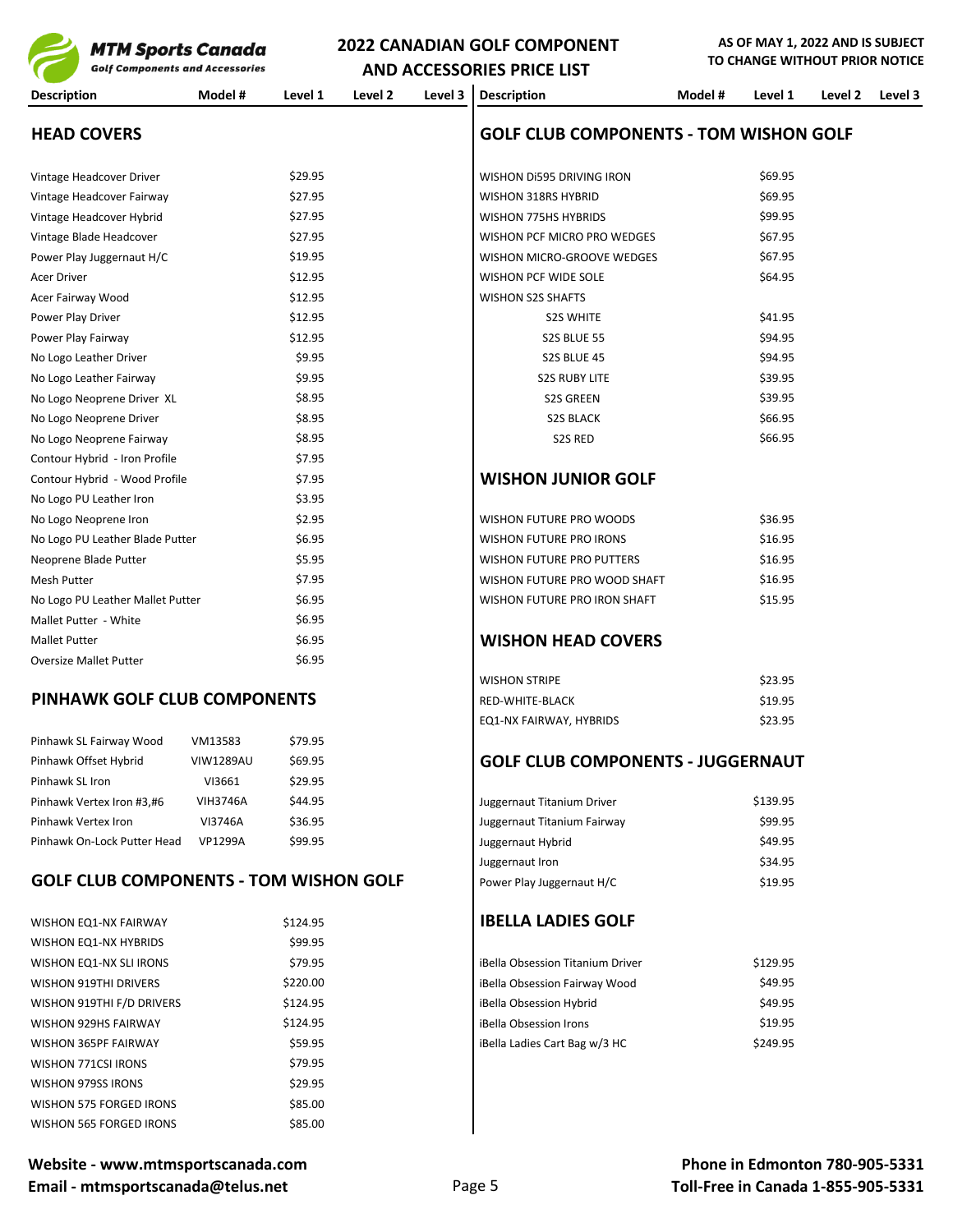

**AND ACCESSORIES PRICE LIST Description Model # Level 1 Level 2 Level 3 Description Model # Level 1 Level 2 Level 3 HEAD COVERS GOLF CLUB COMPONENTS - TOM WISHON GOLF** Vintage Headcover Driver \$69.95 \$29.95 WISHON Di595 DRIVING IRON \$69.95 Vintage Headcover Fairway **\$27.95** \$27.95 WISHON 318RS HYBRID \$69.95 Vintage Headcover Hybrid \$27.95 WISHON 775HS HYBRIDS \$99.95 Vintage Blade Headcover \$67.95 \$27.95 WISHON PCF MICRO PRO WEDGES \$67.95 Power Play Juggernaut H/C \$19.95 \$67.95 WISHON MICRO-GROOVE WEDGES \$67.95 Acer Driver \$12.95 MISHON PCF WIDE SOLE \$64.95 Acer Fairway Wood **Acer Fairway Wood** \$12.95 WISHON S2S SHAFTS Power Play Driver \$41.95 S2S WHITE \$41.95 Power Play Fairway \$94.95 \$12.95 \$12.95 \$94.95 \$94.95 \$94.95 No Logo Leather Driver \$94.95 \$94.95 \$94.95 S2S BLUE 45 No Logo Leather Fairway **\$9.95** S2S RUBY LITE \$39.95 No Logo Neoprene Driver XL \$8.95 S2S GREEN \$39.95 No Logo Neoprene Driver \$8.95 S2S BLACK \$66.95 No Logo Neoprene Fairway **\$8.95** \$8.95 S2S RED \$66.95 Contour Hybrid - Iron Profile \$7.95 Contour Hybrid - Wood Profile \$7.95 **WISHON JUNIOR GOLF** No Logo PU Leather Iron \$3.95 No Logo Neoprene Iron \$2.95 \$36.95 \$36.95 No Logo PU Leather Blade Putter **\$6.95** \$16.95 WISHON FUTURE PRO IRONS \$16.95 Neoprene Blade Putter \$16.95 \$16.95 \$16.95 \ NO \ \$5.95 \ NO \ NEXT REPRO PUTTERS \$16.95 Mesh Putter \$16.95 Mesh Putter \$16.95 Mislem States and the States of States and States and States and States States and States States States and States States States and States States States and States States States State No Logo PU Leather Mallet Putter  $$6.95$   $$45.95$ Mallet Putter - White  $$6.95$ Mallet Putter **No. 2018 The South American Section Section** 56.95 **WISHON HEAD COVERS** Oversize Mallet Putter **\$6.95** WISHON STRIPE \$23.95

### **PINHAWK GOLF CLUB COMPONENTS** RED-WHITE-BLACK \$19.95

| Pinhawk SL Fairway Wood     | VM13583          | \$79.95 |
|-----------------------------|------------------|---------|
| Pinhawk Offset Hybrid       | <b>VIW1289AU</b> | \$69.95 |
| Pinhawk SL Iron             | VI3661           | \$29.95 |
| Pinhawk Vertex Iron #3,#6   | VIH3746A         | \$44.95 |
| Pinhawk Vertex Iron         | VI3746A          | \$36.95 |
| Pinhawk On-Lock Putter Head | <b>VP1299A</b>   | \$99.95 |

### **GOLF CLUB COMPONENTS - TOM WISHON GOLF**

| <b>WISHON EQ1-NX FAIRWAY</b>   | \$124.95 |
|--------------------------------|----------|
| <b>WISHON EQ1-NX HYBRIDS</b>   | \$99.95  |
| <b>WISHON EQ1-NX SLI IRONS</b> | \$79.95  |
| <b>WISHON 919THI DRIVERS</b>   | \$220.00 |
| WISHON 919THI F/D DRIVERS      | \$124.95 |
| <b>WISHON 929HS FAIRWAY</b>    | \$124.95 |
| WISHON 365PF FAIRWAY           | \$59.95  |
| <b>WISHON 771CSI IRONS</b>     | \$79.95  |
| <b>WISHON 979SS IRONS</b>      | \$29.95  |
| WISHON 575 FORGED IRONS        | \$85.00  |
| WISHON 565 FORGED IRONS        | \$85.00  |

| Website - www.mtmsportscanada.com |        |
|-----------------------------------|--------|
| Email - mtmsportscanada@telus.net | Page 5 |

# Juggernaut Titanium Driver **198 Vicential 198 Vicential Annual 198 Vicential** \$139.95

**GOLF CLUB COMPONENTS - JUGGERNAUT** 

EQ1-NX FAIRWAY, HYBRIDS \$23.95

| Pinhawk Vertex Iron                           | VI3746A        | \$36.95                   | Juggernaut Titanium Fairway | \$99.95 |
|-----------------------------------------------|----------------|---------------------------|-----------------------------|---------|
| Pinhawk On-Lock Putter Head                   | <b>VP1299A</b> | \$99.95                   | Juggernaut Hybrid           | \$49.95 |
|                                               |                |                           | Juggernaut Iron             | \$34.95 |
| <b>GOLF CLUB COMPONENTS - TOM WISHON GOLF</b> |                | Power Play Juggernaut H/C | \$19.95                     |         |

### **IBELLA LADIES GOLF**

| \$79.95  | iBella Obsession Titanium Driver | \$129.95 |
|----------|----------------------------------|----------|
| \$220.00 | iBella Obsession Fairway Wood    | \$49.95  |
| \$124.95 | iBella Obsession Hybrid          | \$49.95  |
| \$124.95 | iBella Obsession Irons           | \$19.95  |
| \$59.95  | iBella Ladies Cart Bag w/3 HC    | \$249.95 |
|          |                                  |          |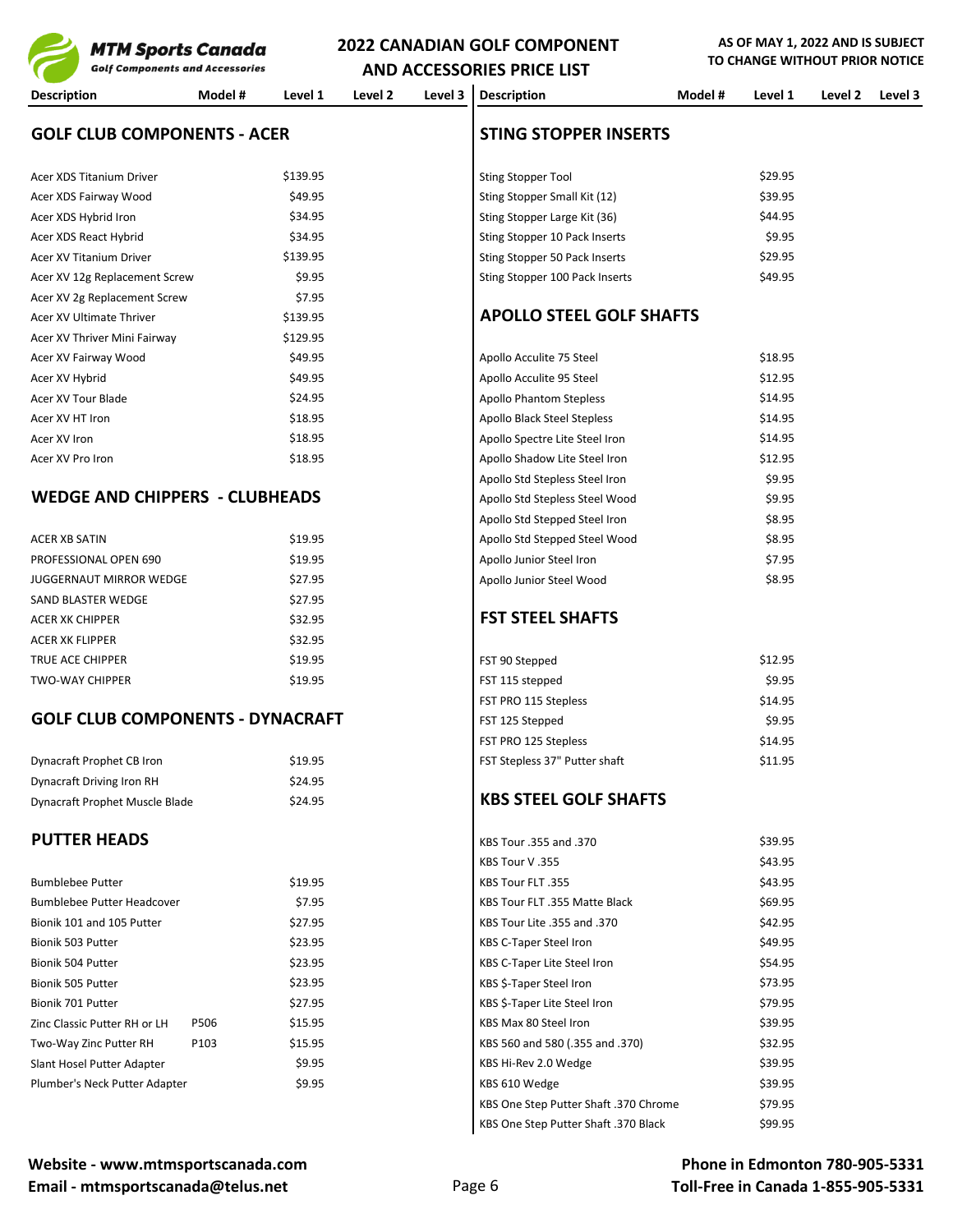**AS OF MAY 1, 2022 AND IS SUBJECT TOTICE** 

| MTM Sports Canada                       |         |          | ZUZZ CANADIAN GOLF CONFONLINT | TO CHANGE WITHOUT PRIOR NOTICI |                                 |         |         |         |         |
|-----------------------------------------|---------|----------|-------------------------------|--------------------------------|---------------------------------|---------|---------|---------|---------|
| <b>Golf Components and Accessories</b>  |         |          |                               |                                | AND ACCESSORIES PRICE LIST      |         |         |         |         |
| <b>Description</b>                      | Model # | Level 1  | Level 2                       | Level 3                        | <b>Description</b>              | Model # | Level 1 | Level 2 | Level 3 |
| <b>GOLF CLUB COMPONENTS - ACER</b>      |         |          |                               |                                | <b>STING STOPPER INSERTS</b>    |         |         |         |         |
| Acer XDS Titanium Driver                |         | \$139.95 |                               |                                | <b>Sting Stopper Tool</b>       |         | \$29.95 |         |         |
| Acer XDS Fairway Wood                   |         | \$49.95  |                               |                                | Sting Stopper Small Kit (12)    |         | \$39.95 |         |         |
| Acer XDS Hybrid Iron                    |         | \$34.95  |                               |                                | Sting Stopper Large Kit (36)    |         | \$44.95 |         |         |
| Acer XDS React Hybrid                   |         | \$34.95  |                               |                                | Sting Stopper 10 Pack Inserts   |         | \$9.95  |         |         |
| Acer XV Titanium Driver                 |         | \$139.95 |                               |                                | Sting Stopper 50 Pack Inserts   |         | \$29.95 |         |         |
| Acer XV 12g Replacement Screw           |         | \$9.95   |                               |                                | Sting Stopper 100 Pack Inserts  |         | \$49.95 |         |         |
| Acer XV 2g Replacement Screw            |         | \$7.95   |                               |                                |                                 |         |         |         |         |
| Acer XV Ultimate Thriver                |         | \$139.95 |                               |                                | <b>APOLLO STEEL GOLF SHAFTS</b> |         |         |         |         |
| Acer XV Thriver Mini Fairway            |         | \$129.95 |                               |                                |                                 |         |         |         |         |
| Acer XV Fairway Wood                    |         | \$49.95  |                               |                                | Apollo Acculite 75 Steel        |         | \$18.95 |         |         |
| Acer XV Hybrid                          |         | \$49.95  |                               |                                | Apollo Acculite 95 Steel        |         | \$12.95 |         |         |
| Acer XV Tour Blade                      |         | \$24.95  |                               |                                | <b>Apollo Phantom Stepless</b>  |         | \$14.95 |         |         |
| Acer XV HT Iron                         |         | \$18.95  |                               |                                | Apollo Black Steel Stepless     |         | \$14.95 |         |         |
| Acer XV Iron                            |         | \$18.95  |                               |                                | Apollo Spectre Lite Steel Iron  |         | \$14.95 |         |         |
| Acer XV Pro Iron                        |         | \$18.95  |                               |                                | Apollo Shadow Lite Steel Iron   |         | \$12.95 |         |         |
|                                         |         |          |                               |                                | Apollo Std Stepless Steel Iron  |         | \$9.95  |         |         |
| <b>WEDGE AND CHIPPERS - CLUBHEADS</b>   |         |          |                               |                                | Apollo Std Stepless Steel Wood  |         | \$9.95  |         |         |
|                                         |         |          |                               |                                | Apollo Std Stepped Steel Iron   |         | \$8.95  |         |         |
| <b>ACER XB SATIN</b>                    |         | \$19.95  |                               |                                | Apollo Std Stepped Steel Wood   |         | \$8.95  |         |         |
| PROFESSIONAL OPEN 690                   |         | \$19.95  |                               |                                | Apollo Junior Steel Iron        |         | \$7.95  |         |         |
| <b>JUGGERNAUT MIRROR WEDGE</b>          |         | \$27.95  |                               |                                | Apollo Junior Steel Wood        |         | \$8.95  |         |         |
| SAND BLASTER WEDGE                      |         | \$27.95  |                               |                                |                                 |         |         |         |         |
| <b>ACER XK CHIPPER</b>                  |         | \$32.95  |                               |                                | <b>FST STEEL SHAFTS</b>         |         |         |         |         |
| <b>ACER XK FLIPPER</b>                  |         | \$32.95  |                               |                                |                                 |         |         |         |         |
| TRUE ACE CHIPPER                        |         | \$19.95  |                               |                                | FST 90 Stepped                  |         | \$12.95 |         |         |
| <b>TWO-WAY CHIPPER</b>                  |         | \$19.95  |                               |                                | FST 115 stepped                 |         | \$9.95  |         |         |
|                                         |         |          |                               |                                | FST PRO 115 Stepless            |         | \$14.95 |         |         |
| <b>GOLF CLUB COMPONENTS - DYNACRAFT</b> |         |          |                               |                                | FST 125 Stepped                 |         | \$9.95  |         |         |
|                                         |         |          |                               |                                | FST PRO 125 Stepless            |         | \$14.95 |         |         |
| Dynacraft Prophet CB Iron               |         | \$19.95  |                               |                                | FST Stepless 37" Putter shaft   |         | \$11.95 |         |         |
| Dynacraft Driving Iron RH               |         | \$24.95  |                               |                                |                                 |         |         |         |         |
| Dynacraft Prophet Muscle Blade          |         | \$24.95  |                               |                                | <b>KBS STEEL GOLF SHAFTS</b>    |         |         |         |         |
| <b>PUTTER HEADS</b>                     |         |          |                               |                                | KBS Tour .355 and .370          |         | \$39.95 |         |         |
|                                         |         |          |                               |                                | KBS Tour V.355                  |         | \$43.95 |         |         |
| <b>Bumblebee Putter</b>                 |         | \$19.95  |                               |                                | KBS Tour FLT .355               |         | \$43.95 |         |         |
| Bumblebee Putter Headcover              |         | \$7.95   |                               |                                | KBS Tour FLT .355 Matte Black   |         | \$69.95 |         |         |
| Bionik 101 and 105 Putter               |         | \$27.95  |                               |                                | KBS Tour Lite .355 and .370     |         | \$42.95 |         |         |
| Bionik 503 Putter                       |         | \$23.95  |                               |                                | KBS C-Taper Steel Iron          |         | \$49.95 |         |         |
| Bionik 504 Putter                       |         | \$23.95  |                               |                                | KBS C-Taper Lite Steel Iron     |         | \$54.95 |         |         |
| Bionik 505 Putter                       |         | \$23.95  |                               |                                | KBS \$-Taper Steel Iron         |         | \$73.95 |         |         |
| Bionik 701 Putter                       |         | \$27.95  |                               |                                | KBS \$-Taper Lite Steel Iron    |         | \$79.95 |         |         |
| Zinc Classic Putter RH or LH            | P506    | \$15.95  |                               |                                | KBS Max 80 Steel Iron           |         | \$39.95 |         |         |

**Website - www.mtmsportscanada.com** Email - mtmsportscanada@telus.net example and page 6

KBS One Step Putter Shaft .370 Chrome \$79.95 KBS One Step Putter Shaft .370 Black \$99.95

Two-Way Zinc Putter RH P103 \$15.95 KBS 560 and 580 (.355 and .370) \$32.95 Slant Hosel Putter Adapter **\$9.95** \$9.95 KBS Hi-Rev 2.0 Wedge \$39.95 Plumber's Neck Putter Adapter **\$9.95** \$9.95 KBS 610 Wedge \$39.95 \$39.95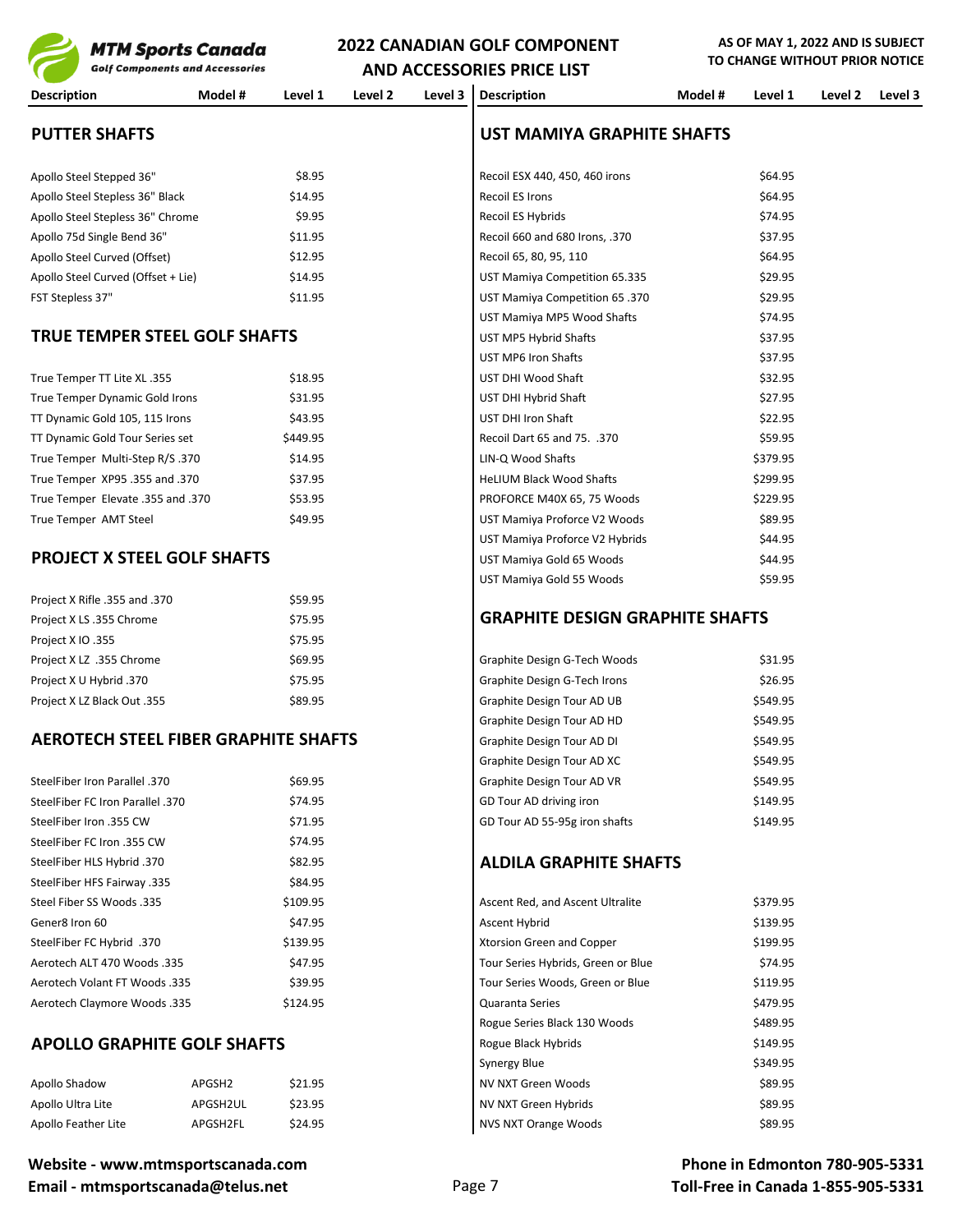

|                                             | <b>Golf Components and Accessories</b> |          |         |         | AND ACCESSORIES PRICE LIST             |         | TO CHANGE WITHOUT PRIOR NOTICE |         |         |
|---------------------------------------------|----------------------------------------|----------|---------|---------|----------------------------------------|---------|--------------------------------|---------|---------|
| <b>Description</b>                          | Model #                                | Level 1  | Level 2 | Level 3 | <b>Description</b>                     | Model # | Level 1                        | Level 2 | Level 3 |
| <b>PUTTER SHAFTS</b>                        |                                        |          |         |         | UST MAMIYA GRAPHITE SHAFTS             |         |                                |         |         |
| Apollo Steel Stepped 36"                    |                                        | \$8.95   |         |         | Recoil ESX 440, 450, 460 irons         |         | \$64.95                        |         |         |
| Apollo Steel Stepless 36" Black             |                                        | \$14.95  |         |         | Recoil ES Irons                        |         | \$64.95                        |         |         |
| Apollo Steel Stepless 36" Chrome            |                                        | \$9.95   |         |         | Recoil ES Hybrids                      |         | \$74.95                        |         |         |
| Apollo 75d Single Bend 36"                  |                                        | \$11.95  |         |         | Recoil 660 and 680 Irons, .370         |         | \$37.95                        |         |         |
| Apollo Steel Curved (Offset)                |                                        | \$12.95  |         |         | Recoil 65, 80, 95, 110                 |         | \$64.95                        |         |         |
| Apollo Steel Curved (Offset + Lie)          |                                        | \$14.95  |         |         | UST Mamiya Competition 65.335          |         | \$29.95                        |         |         |
| FST Stepless 37"                            |                                        | \$11.95  |         |         | UST Mamiya Competition 65 .370         |         | \$29.95                        |         |         |
|                                             |                                        |          |         |         | UST Mamiya MP5 Wood Shafts             |         | \$74.95                        |         |         |
| <b>TRUE TEMPER STEEL GOLF SHAFTS</b>        |                                        |          |         |         | UST MP5 Hybrid Shafts                  |         | \$37.95                        |         |         |
|                                             |                                        |          |         |         | <b>UST MP6 Iron Shafts</b>             |         | \$37.95                        |         |         |
| True Temper TT Lite XL .355                 |                                        | \$18.95  |         |         | UST DHI Wood Shaft                     |         | \$32.95                        |         |         |
| True Temper Dynamic Gold Irons              |                                        | \$31.95  |         |         | UST DHI Hybrid Shaft                   |         | \$27.95                        |         |         |
| TT Dynamic Gold 105, 115 Irons              |                                        | \$43.95  |         |         | UST DHI Iron Shaft                     |         | \$22.95                        |         |         |
| TT Dynamic Gold Tour Series set             |                                        | \$449.95 |         |         | Recoil Dart 65 and 75. .370            |         | \$59.95                        |         |         |
| True Temper Multi-Step R/S .370             |                                        | \$14.95  |         |         | LIN-Q Wood Shafts                      |         | \$379.95                       |         |         |
| 370. True Temper XP95 .355 and              |                                        | \$37.95  |         |         | HeLIUM Black Wood Shafts               |         | \$299.95                       |         |         |
| 370. True Temper Elevate .355 and           |                                        | \$53.95  |         |         | PROFORCE M40X 65, 75 Woods             |         | \$229.95                       |         |         |
| True Temper AMT Steel                       |                                        | \$49.95  |         |         | UST Mamiya Proforce V2 Woods           |         | \$89.95                        |         |         |
|                                             |                                        |          |         |         | UST Mamiya Proforce V2 Hybrids         |         | \$44.95                        |         |         |
| <b>PROJECT X STEEL GOLF SHAFTS</b>          |                                        |          |         |         | UST Mamiya Gold 65 Woods               |         | \$44.95                        |         |         |
|                                             |                                        |          |         |         | UST Mamiya Gold 55 Woods               |         | \$59.95                        |         |         |
| Project X Rifle .355 and .370               |                                        | \$59.95  |         |         |                                        |         |                                |         |         |
| Project X LS .355 Chrome                    |                                        | \$75.95  |         |         | <b>GRAPHITE DESIGN GRAPHITE SHAFTS</b> |         |                                |         |         |
| Project X IO .355                           |                                        | \$75.95  |         |         |                                        |         |                                |         |         |
| Project X LZ .355 Chrome                    |                                        | \$69.95  |         |         | Graphite Design G-Tech Woods           |         | \$31.95                        |         |         |
| Project X U Hybrid .370                     |                                        | \$75.95  |         |         | Graphite Design G-Tech Irons           |         | \$26.95                        |         |         |
| Project X LZ Black Out .355                 |                                        | \$89.95  |         |         | Graphite Design Tour AD UB             |         | \$549.95                       |         |         |
|                                             |                                        |          |         |         | Graphite Design Tour AD HD             |         | \$549.95                       |         |         |
| <b>AEROTECH STEEL FIBER GRAPHITE SHAFTS</b> |                                        |          |         |         | Graphite Design Tour AD DI             |         | \$549.95                       |         |         |
|                                             |                                        |          |         |         | Graphite Design Tour AD XC             |         | \$549.95                       |         |         |
| 370. SteelFiber Iron Parallel               |                                        | \$69.95  |         |         | Graphite Design Tour AD VR             |         | \$549.95                       |         |         |
| <b>SteelFiber FC Iron Parallel .370</b>     |                                        | \$74.95  |         |         | GD Tour AD driving iron                |         | \$149.95                       |         |         |
| SteelFiber Iron .355 CW                     |                                        | \$71.95  |         |         | GD Tour AD 55-95g iron shafts          |         | \$149.95                       |         |         |
| SteelFiber FC Iron .355 CW                  |                                        | \$74.95  |         |         |                                        |         |                                |         |         |
| 370. SteelFiber HLS Hybrid                  |                                        | \$82.95  |         |         | <b>ALDILA GRAPHITE SHAFTS</b>          |         |                                |         |         |
| <b>SteelFiber HFS Fairway .335</b>          |                                        | \$84.95  |         |         |                                        |         |                                |         |         |
| Steel Fiber SS Woods .335                   |                                        | \$109.95 |         |         | Ascent Red, and Ascent Ultralite       |         | \$379.95                       |         |         |
| Gener8 Iron 60                              |                                        | \$47.95  |         |         | Ascent Hybrid                          |         | \$139.95                       |         |         |
| 370. SteelFiber FC Hybrid                   |                                        | \$139.95 |         |         | Xtorsion Green and Copper              |         | \$199.95                       |         |         |
| Aerotech ALT 470 Woods .335                 |                                        | \$47.95  |         |         | Tour Series Hybrids, Green or Blue     |         | \$74.95                        |         |         |
| Aerotech Volant FT Woods .335               |                                        | \$39.95  |         |         | Tour Series Woods, Green or Blue       |         | \$119.95                       |         |         |
| Aerotech Claymore Woods .335                |                                        | \$124.95 |         |         | <b>Quaranta Series</b>                 |         | \$479.95                       |         |         |
|                                             |                                        |          |         |         | Rogue Series Black 130 Woods           |         | \$489.95                       |         |         |
| <b>APOLLO GRAPHITE GOLF SHAFTS</b>          |                                        |          |         |         | Rogue Black Hybrids                    |         | \$149.95                       |         |         |
|                                             |                                        |          |         |         | <b>Synergy Blue</b>                    |         | \$349.95                       |         |         |
| Apollo Shadow                               | APGSH2                                 | \$21.95  |         |         | NV NXT Green Woods                     |         | \$89.95                        |         |         |
| Apollo Ultra Lite                           | APGSH2UL                               | \$23.95  |         |         | NV NXT Green Hybrids                   |         | \$89.95                        |         |         |
| Apollo Feather Lite                         | APGSH2FL                               | \$24.95  |         |         | NVS NXT Orange Woods                   |         | \$89.95                        |         |         |
|                                             |                                        |          |         |         |                                        |         |                                |         |         |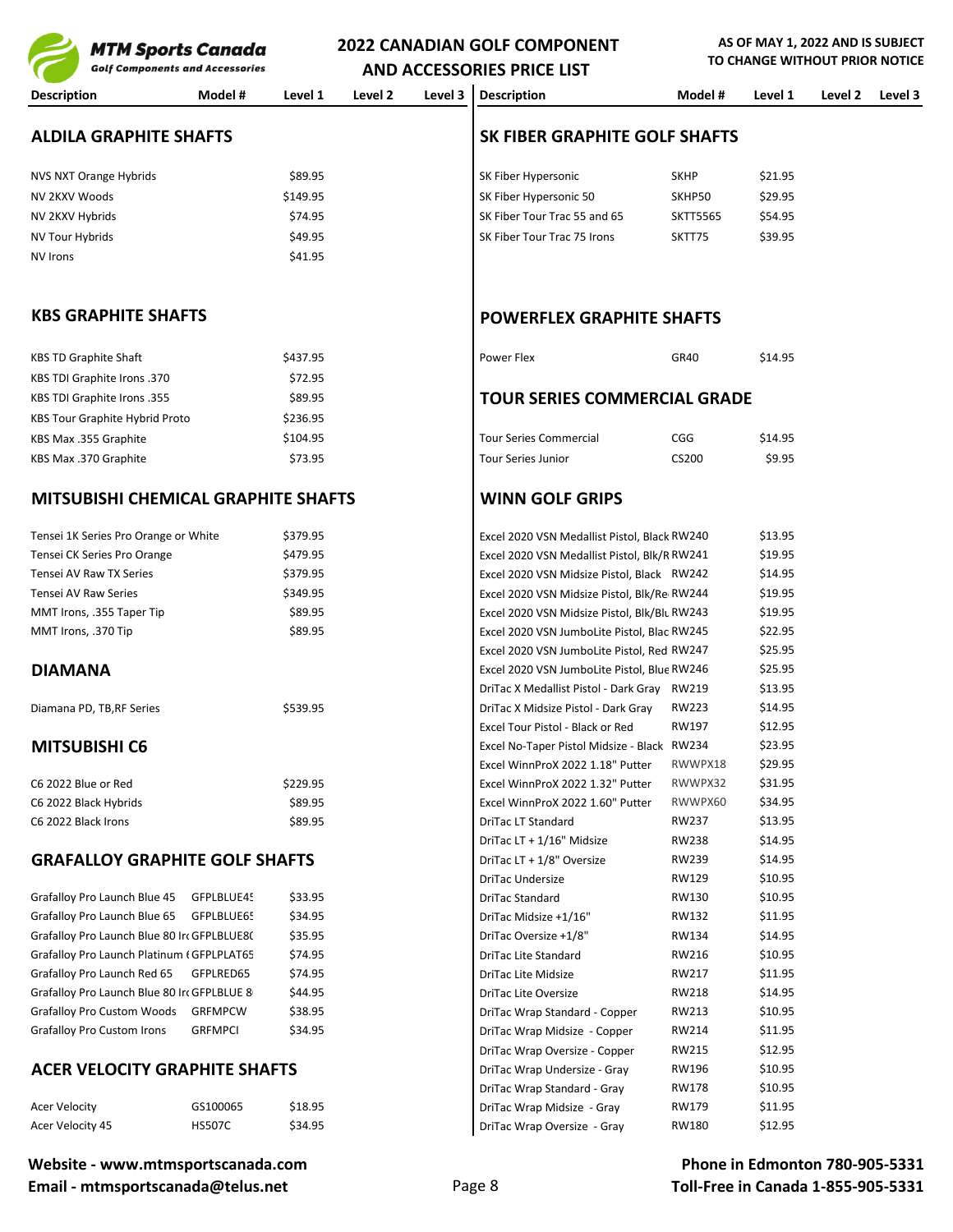**2022 CANADIAN GOLF COMPONENT MTM Sports Canada Golf Components and Accessories AND ACCESSORIES PRICE LIST Description Model # Level 1 Level 2 Level 3 Description Model # Level 1 Level 2 Level 3 ALDILA GRAPHITE SHAFTS SK FIBER GRAPHITE GOLF SHAFTS** NVS NXT Orange Hybrids **SALUS AND SEEN ASSESS ASSESSED** SK Fiber Hypersonic SKHP \$21.95 NV 2KXV Woods \$149.95 SK Fiber Hypersonic 50 SKHP50 \$29.95 NV 2KXV Hybrids **STALL STATES AND STATES ASSESS** STATES STATES STATES STATES STATES STATES STATES STATES STATES STA NV Tour Hybrids **SALES ARE SERVING STATES AND TOUR SERVING SERVING SERVING SERVING SERVING SERVING SERVING SERV**  $NV$  Irons  $$41.95$ **KBS GRAPHITE SHAFTS POWERFLEX GRAPHITE SHAFTS** KBS TD Graphite Shaft **\$437.95** Power Flex SA37.95 **Power Flex** GR40 \$14.95 KBS TDI Graphite Irons .370 \$72.95 KBS TDI Graphite Irons .355 \$89.95 **TOUR SERIES COMMERCIAL GRADE** KBS Tour Graphite Hybrid Proto \$236.95 KBS Max .355 Graphite **\$104.95 \$104.95** Tour Series Commercial CGG \$14.95 KBS Max .370 Graphite **198.95** Tour Series Junior CS200 \$9.95 Tour Series Junior CS200 \$9.95 **MITSUBISHI CHEMICAL GRAPHITE SHAFTS WINN GOLF GRIPS** Tensei 1K Series Pro Orange or White  $$379.95$  Excel 2020 VSN Medallist Pistol, Black RW240 \$13.95 Tensei CK Series Pro Orange \$479.95 \$479.95 Excel 2020 VSN Medallist Pistol, Blk/RRW241 \$19.95 Tensei AV Raw TX Series **\$379.95** \$379.95 **Excel 2020 VSN Midsize Pistol, Black RW242** \$14.95 Tensei AV Raw Series **\$349.95** \$349.95 Excel 2020 VSN Midsize Pistol, Blk/Re RW244 \$19.95 MMT Irons, .355 Taper Tip **Excel 2020 VSN Midsize Pistol**. Blk/Bl<sub>u</sub> RW243 \$19.95 MMT Irons, .370 Tip **\$89.95** S89.95 Excel 2020 VSN JumboLite Pistol, Blac RW245 \$22.95 Excel 2020 VSN JumboLite Pistol, Red RW247 \$25.95 **DIAMANA** Excel 2020 VSN JumboLite Pistol, Blue RW246 \$25.95 DriTac X Medallist Pistol - Dark Gray RW219 \$13.95 Diamana PD, TB,RF Series \$539.95 DriTac X Midsize Pistol - Dark Gray RW223 \$14.95 Excel Tour Pistol - Black or Red RW197 \$12.95 **MITSUBISHI C6** Space **MITSUBISHI C6** Space No-Taper Pistol Midsize - Black RW234 \$23.95<br>Excel WinnProx 2022 1.18" Putter RWWPX18 \$29.95 Excel WinnProX 2022 1.18" Putter RWWPX18 C6 2022 Blue or Red \$229.95 Excel WinnProX 2022 1.32" Putter RWWPX32 \$31.95 C6 2022 Black Hybrids \$89.95 Excel WinnProX 2022 1.60" Putter RWWPX60 \$34.95 C6 2022 Black Irons \$89.95 DriTac LT Standard RW237 \$13.95 DriTac LT + 1/16" Midsize RW238 \$14.95 **GRAFALLOY GRAPHITE GOLF SHAFTS** DriTac LT + 1/8" Oversize RW239 \$14.95 DriTac Undersize RW129 \$10.95 Grafalloy Pro Launch Blue 45 GFPLBLUE45 \$33.95 **DriTac Standard** RW130 \$10.95 Grafalloy Pro Launch Blue 65 GFPLBLUE65 \$34.95 DriTac Midsize +1/16" RW132 \$11.95 Grafalloy Pro Launch Blue 80 Irt GFPLBLUE80 \$35.95 **DriTac Oversize +1/8"** RW134 \$14.95 Grafalloy Pro Launch Platinum (GFPLPLAT65 \$74.95 | DriTac Lite Standard RW216 \$10.95 Grafalloy Pro Launch Red 65 GFPLRED65 \$74.95 DriTac Lite Midsize RW217 \$11.95 Grafalloy Pro Launch Blue 80 IronGFPLBLUE 8 \$44.95 **DriTac Lite Oversize** BW218 \$14.95 Grafalloy Pro Custom Woods GRFMPCW \$38.95 DriTac Wrap Standard - Copper RW213 \$10.95 Grafalloy Pro Custom Irons GRFMPCI \$34.95 DriTac Wrap Midsize - Copper RW214 \$11.95 DriTac Wrap Oversize - Copper RW215 \$12.95

# **ACER VELOCITY GRAPHITE SHAFTS**<br>DriTac Wrap Undersize - Gray RW178 \$10.95<br>DriTac Wrap Standard - Gray RW178 \$10.95

| Acer Velocity    | GS100065      | \$18.95 |
|------------------|---------------|---------|
| Acer Velocity 45 | <b>HS507C</b> | \$34.95 |

DriTac Wrap Standard - Gray

DriTac Wrap Midsize - Gray RW179 \$11.95 DriTac Wrap Oversize - Gray RW180 \$12.95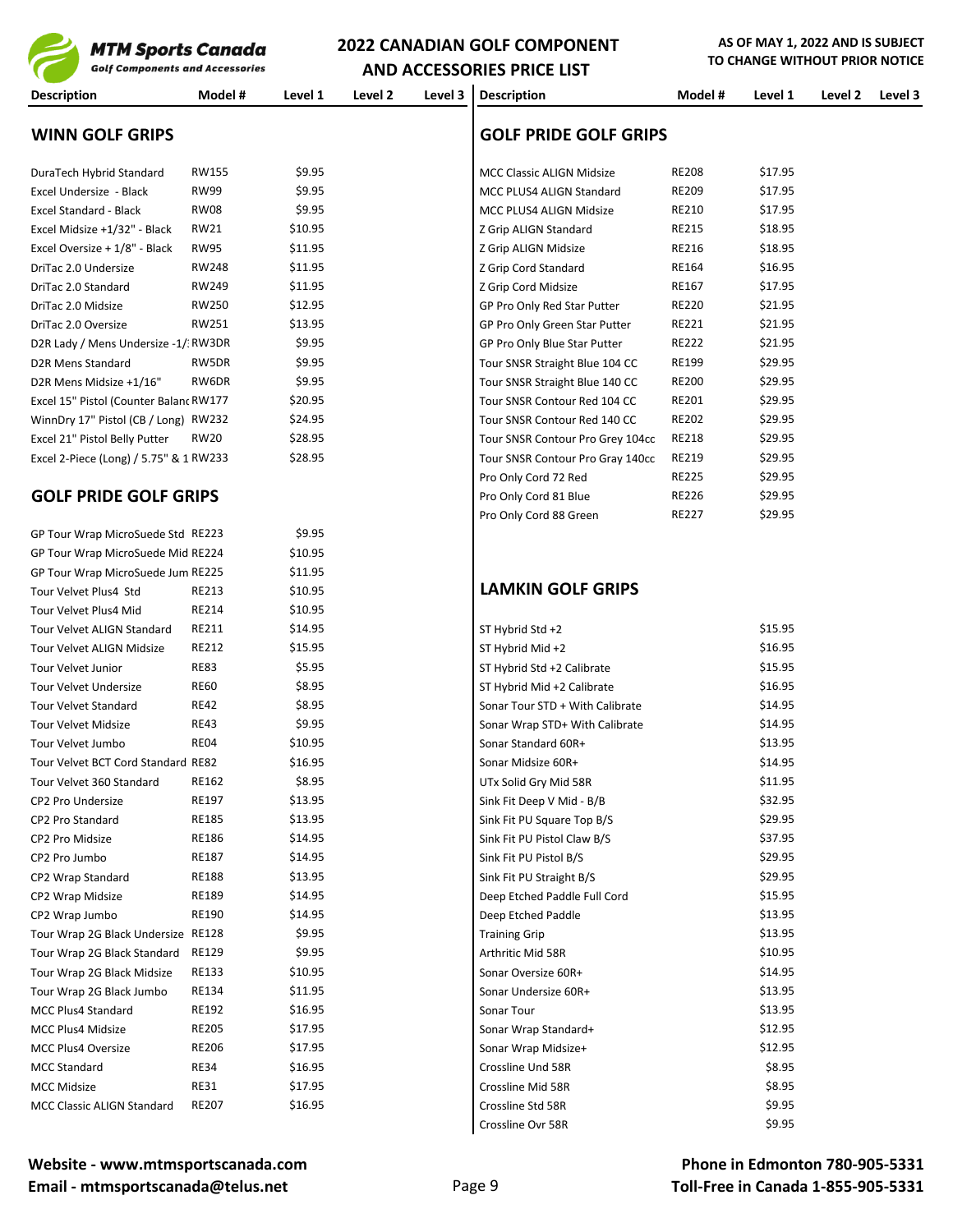

**AND ACCESSORIES PRICE LIST Description Model # Level 1 Level 2 Level 3 Description Model # Level 1 Level 2 Level 3 WINN GOLF GRIPS GOLF PRIDE GOLF GRIPS** DuraTech Hybrid Standard RW155 \$9.95 \$9.95 MCC Classic ALIGN Midsize RE208 \$17.95 Excel Undersize - Black RW99 \$9.95 (\$9.95 MCC PLUS4 ALIGN Standard RE209 \$17.95 Excel Standard - Black RW08 \$9.95 MCC PLUS4 ALIGN Midsize RE210 \$17.95 Excel Midsize +1/32" - Black RW21 \$10.95 \$10.95 2 Grip ALIGN Standard RE215 \$18.95 Excel Oversize + 1/8" - Black RW95 \$11.95 Z Grip ALIGN Midsize RE216 \$18.95 DriTac 2.0 Undersize RW248 \$11.95 Z Grip Cord Standard RE164 \$16.95 DriTac 2.0 Standard RW249 \$11.95 X 3 | Z Grip Cord Midsize RE167 \$17.95 DriTac 2.0 Midsize RW250 \$12.95 Server All Star Putter RE220 \$21.95 DriTac 2.0 Oversize RW251 \$13.95 (Speed Star Putter RE221 \$21.95 D2R Lady / Mens Undersize -1/: RW3DR \$9.95 (SP Pro Only Blue Star Putter RE222 \$21.95 D2R Mens Standard RW5DR \$9.95 Tour SNSR Straight Blue 104 CC RE199 \$29.95 D2R Mens Midsize +1/16" RW6DR \$9.95 \$9.95 Tour SNSR Straight Blue 140 CC RE200 \$29.95 Excel 15" Pistol (Counter Balance RW177 \$20.95 \$20.95 Tour SNSR Contour Red 104 CC RE201 \$29.95 WinnDry 17" Pistol (CB / Long) RW232 \$24.95 529.95 Tour SNSR Contour Red 140 CC RE202 \$29.95 Excel 21" Pistol Belly Putter RW20 \$28.95 | Tour SNSR Contour Pro Grey 104cc RE218 \$29.95 Excel 2-Piece (Long) / 5.75" & 1 RW233 \$28.95 \$28.95 Tour SNSR Contour Pro Gray 140cc RE219 \$29.95 Pro Only Cord 72 Red RE225 \$29.95 **GOLF PRIDE GOLF GRIPS** And the state of the Program of Pro Only Cord 81 Blue RE226 \$29.95 Pro Only Cord 88 Green RE227 \$29.95 GP Tour Wrap MicroSuede Std RE223 \$9.95 GP Tour Wrap MicroSuede Mid RE224 \$10.95 GP Tour Wrap MicroSuede Jum RE225 \$11.95 Tour Velvet Plus4 Std RE213 \$10.95 **LAMKIN GOLF GRIPS** Tour Velvet Plus4 Mid
Burn China RE214
S10.95
Tour Velvet Plus4 Mid Tour Velvet ALIGN Standard RE211 \$14.95 ST Hybrid Std +2 \$15.95 Tour Velvet ALIGN Midsize RE212 \$15.95 ST Hybrid Mid +2 \$16.95 Tour Velvet Junior RE83 5.95 ST Hybrid Std +2 Calibrate \$15.95 Tour Velvet Undersize RE60 58.95 State Supervisor State State State State State State State State State State State State State State State State State State State State State State State State State State State State Stat Tour Velvet Standard RE42 58.95 Sonar Tour STD + With Calibrate \$14.95 Tour Velvet Midsize RE43 59.95 Sonar Wrap STD+ With Calibrate \$14.95 Tour Velvet Jumbo RE04 \$10.95 Senar Standard 60R+ \$13.95 Tour Velvet BCT Cord Standard RE82 \$16.95 \$16.95 \$16.95 Sonar Midsize 60R+ \$14.95 Tour Velvet 360 Standard RE162 \$8.95 \$8.95 Standard RE162 \$8.95 Standard RE162 \$58.95 Standard RE162 CP2 Pro Undersize RE197 \$13.95 Sink Fit Deep V Mid - B/B \$32.95 CP2 Pro Standard RE185 \$13.95 Standard RE185 \$13.95 Separation Standard \$29.95 CP2 Pro Midsize RE186 \$14.95 Set Set Sink Fit PU Pistol Claw B/S \$37.95 CP2 Pro Jumbo RE187 \$14.95 Sink Fit PU Pistol B/S \$29.95 CP2 Wrap Standard RE188 \$13.95 Sink Fit PU Straight B/S \$29.95 CP2 Wrap Midsize RE189 \$14.95 RE189 \$14.95 Deep Etched Paddle Full Cord \$15.95 CP2 Wrap Jumbo RE190 \$14.95 Deep Etched Paddle \$13.95 Tour Wrap 2G Black Undersize RE128 \$9.95 \$13.95 \$13.95 Training Grip \$13.95 Tour Wrap 2G Black Standard RE129 \$9.95 \$9.95 Arthritic Mid 58R \$10.95 Tour Wrap 2G Black Midsize RE133 \$10.95 \$10.95 Sonar Oversize 60R+ \$14.95 Tour Wrap 2G Black Jumbo RE134 \$11.95 \$11.95 \$13.95 MCC Plus4 Standard RE192 \$16.95 Species ARENA Standard \$13.95 MCC Plus4 Midsize RE205 \$17.95 Sonar Wrap Standard+ \$12.95 MCC Plus4 Oversize RE206 517.95 Sonar Wrap Midsize+ \$12.95 MCC Standard RE34 \$16.95 Crossline Und 58R \$8.95 MCC Midsize RE31 \$17.95 Crossline Mid 58R \$8.95

Crossline Ovr 58R \$9.95

MCC Classic ALIGN Standard RE207 \$16.95 S9.95 (Crossline Std 58R \$9.95 S9.95 S9.95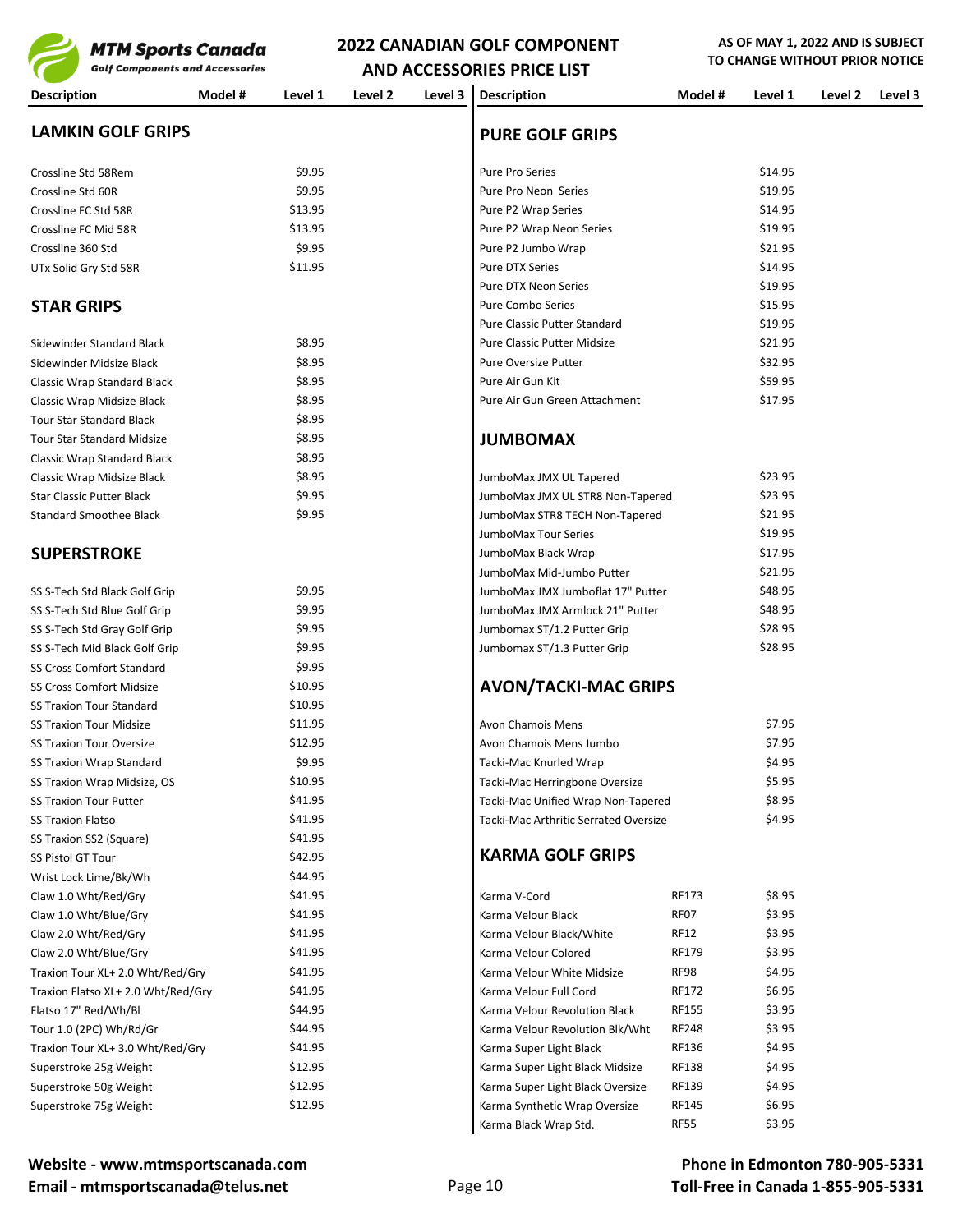

**AND ACCESSORIES PRICE LIST** 

| <b>Golf Components and Accessories</b> |                    |         |         | <b>AND ACCESSORIES PRICE LIST</b>     |              |         |         |         |
|----------------------------------------|--------------------|---------|---------|---------------------------------------|--------------|---------|---------|---------|
| <b>Description</b>                     | Model #<br>Level 1 | Level 2 | Level 3 | <b>Description</b>                    | Model #      | Level 1 | Level 2 | Level 3 |
| <b>LAMKIN GOLF GRIPS</b>               |                    |         |         | <b>PURE GOLF GRIPS</b>                |              |         |         |         |
| Crossline Std 58Rem                    | \$9.95             |         |         | <b>Pure Pro Series</b>                |              | \$14.95 |         |         |
| Crossline Std 60R                      | \$9.95             |         |         | Pure Pro Neon Series                  |              | \$19.95 |         |         |
| Crossline FC Std 58R                   | \$13.95            |         |         | Pure P2 Wrap Series                   |              | \$14.95 |         |         |
| Crossline FC Mid 58R                   | \$13.95            |         |         | Pure P2 Wrap Neon Series              |              | \$19.95 |         |         |
| Crossline 360 Std                      | \$9.95             |         |         | Pure P2 Jumbo Wrap                    |              | \$21.95 |         |         |
| UTx Solid Gry Std 58R                  | \$11.95            |         |         | Pure DTX Series                       |              | \$14.95 |         |         |
|                                        |                    |         |         | <b>Pure DTX Neon Series</b>           |              | \$19.95 |         |         |
| <b>STAR GRIPS</b>                      |                    |         |         | <b>Pure Combo Series</b>              |              | \$15.95 |         |         |
|                                        |                    |         |         | Pure Classic Putter Standard          |              | \$19.95 |         |         |
| Sidewinder Standard Black              | \$8.95             |         |         | <b>Pure Classic Putter Midsize</b>    |              | \$21.95 |         |         |
| Sidewinder Midsize Black               | \$8.95             |         |         | <b>Pure Oversize Putter</b>           |              | \$32.95 |         |         |
| Classic Wrap Standard Black            | \$8.95             |         |         | Pure Air Gun Kit                      |              | \$59.95 |         |         |
| Classic Wrap Midsize Black             | \$8.95             |         |         | Pure Air Gun Green Attachment         |              | \$17.95 |         |         |
| <b>Tour Star Standard Black</b>        | \$8.95             |         |         |                                       |              |         |         |         |
| <b>Tour Star Standard Midsize</b>      | \$8.95             |         |         | <b>JUMBOMAX</b>                       |              |         |         |         |
| Classic Wrap Standard Black            | \$8.95             |         |         |                                       |              |         |         |         |
| Classic Wrap Midsize Black             | \$8.95             |         |         | JumboMax JMX UL Tapered               |              | \$23.95 |         |         |
| <b>Star Classic Putter Black</b>       | \$9.95             |         |         | JumboMax JMX UL STR8 Non-Tapered      |              | \$23.95 |         |         |
| <b>Standard Smoothee Black</b>         | \$9.95             |         |         | JumboMax STR8 TECH Non-Tapered        |              | \$21.95 |         |         |
|                                        |                    |         |         | JumboMax Tour Series                  |              | \$19.95 |         |         |
| <b>SUPERSTROKE</b>                     |                    |         |         | JumboMax Black Wrap                   |              | \$17.95 |         |         |
|                                        |                    |         |         | JumboMax Mid-Jumbo Putter             |              | \$21.95 |         |         |
| SS S-Tech Std Black Golf Grip          | \$9.95             |         |         | JumboMax JMX Jumboflat 17" Putter     |              | \$48.95 |         |         |
| SS S-Tech Std Blue Golf Grip           | \$9.95             |         |         | JumboMax JMX Armlock 21" Putter       |              | \$48.95 |         |         |
| SS S-Tech Std Gray Golf Grip           | \$9.95             |         |         | Jumbomax ST/1.2 Putter Grip           |              | \$28.95 |         |         |
| SS S-Tech Mid Black Golf Grip          | \$9.95             |         |         | Jumbomax ST/1.3 Putter Grip           |              | \$28.95 |         |         |
| <b>SS Cross Comfort Standard</b>       | \$9.95             |         |         |                                       |              |         |         |         |
| <b>SS Cross Comfort Midsize</b>        | \$10.95            |         |         | <b>AVON/TACKI-MAC GRIPS</b>           |              |         |         |         |
| <b>SS Traxion Tour Standard</b>        | \$10.95            |         |         |                                       |              |         |         |         |
| <b>SS Traxion Tour Midsize</b>         | \$11.95            |         |         | <b>Avon Chamois Mens</b>              |              | \$7.95  |         |         |
| <b>SS Traxion Tour Oversize</b>        | \$12.95            |         |         | Avon Chamois Mens Jumbo               |              | \$7.95  |         |         |
| SS Traxion Wrap Standard               | \$9.95             |         |         | Tacki-Mac Knurled Wrap                |              | \$4.95  |         |         |
| SS Traxion Wrap Midsize, OS            | \$10.95            |         |         | Tacki-Mac Herringbone Oversize        |              | \$5.95  |         |         |
| <b>SS Traxion Tour Putter</b>          | \$41.95            |         |         | Tacki-Mac Unified Wrap Non-Tapered    |              | \$8.95  |         |         |
| <b>SS Traxion Flatso</b>               | \$41.95            |         |         | Tacki-Mac Arthritic Serrated Oversize |              | \$4.95  |         |         |
| SS Traxion SS2 (Square)                | \$41.95            |         |         |                                       |              |         |         |         |
| SS Pistol GT Tour                      | \$42.95            |         |         | <b>KARMA GOLF GRIPS</b>               |              |         |         |         |
| Wrist Lock Lime/Bk/Wh                  | \$44.95            |         |         |                                       |              |         |         |         |
| Claw 1.0 Wht/Red/Gry                   | \$41.95            |         |         | Karma V-Cord                          | RF173        | \$8.95  |         |         |
| Claw 1.0 Wht/Blue/Gry                  | \$41.95            |         |         | Karma Velour Black                    | RF07         | \$3.95  |         |         |
| Claw 2.0 Wht/Red/Gry                   | \$41.95            |         |         | Karma Velour Black/White              | RF12         | \$3.95  |         |         |
| Claw 2.0 Wht/Blue/Gry                  | \$41.95            |         |         | Karma Velour Colored                  | RF179        | \$3.95  |         |         |
| Traxion Tour XL+ 2.0 Wht/Red/Gry       | \$41.95            |         |         | Karma Velour White Midsize            | RF98         | \$4.95  |         |         |
| Traxion Flatso XL+ 2.0 Wht/Red/Gry     | \$41.95            |         |         | Karma Velour Full Cord                | RF172        | \$6.95  |         |         |
| Flatso 17" Red/Wh/Bl                   | \$44.95            |         |         | Karma Velour Revolution Black         | <b>RF155</b> | \$3.95  |         |         |
| Tour 1.0 (2PC) Wh/Rd/Gr                | \$44.95            |         |         | Karma Velour Revolution Blk/Wht       | <b>RF248</b> | \$3.95  |         |         |
| Traxion Tour XL+ 3.0 Wht/Red/Gry       | \$41.95            |         |         | Karma Super Light Black               | RF136        | \$4.95  |         |         |
| Superstroke 25g Weight                 | \$12.95            |         |         | Karma Super Light Black Midsize       | RF138        | \$4.95  |         |         |
| Superstroke 50g Weight                 | \$12.95            |         |         | Karma Super Light Black Oversize      | RF139        | \$4.95  |         |         |
| Superstroke 75g Weight                 | \$12.95            |         |         | Karma Synthetic Wrap Oversize         | RF145        | \$6.95  |         |         |

Karma Black Wrap Std. RF55 \$3.95

### **Phone in Edmonton 780-905-5331 Toll-Free in Canada 1-855-905-5331**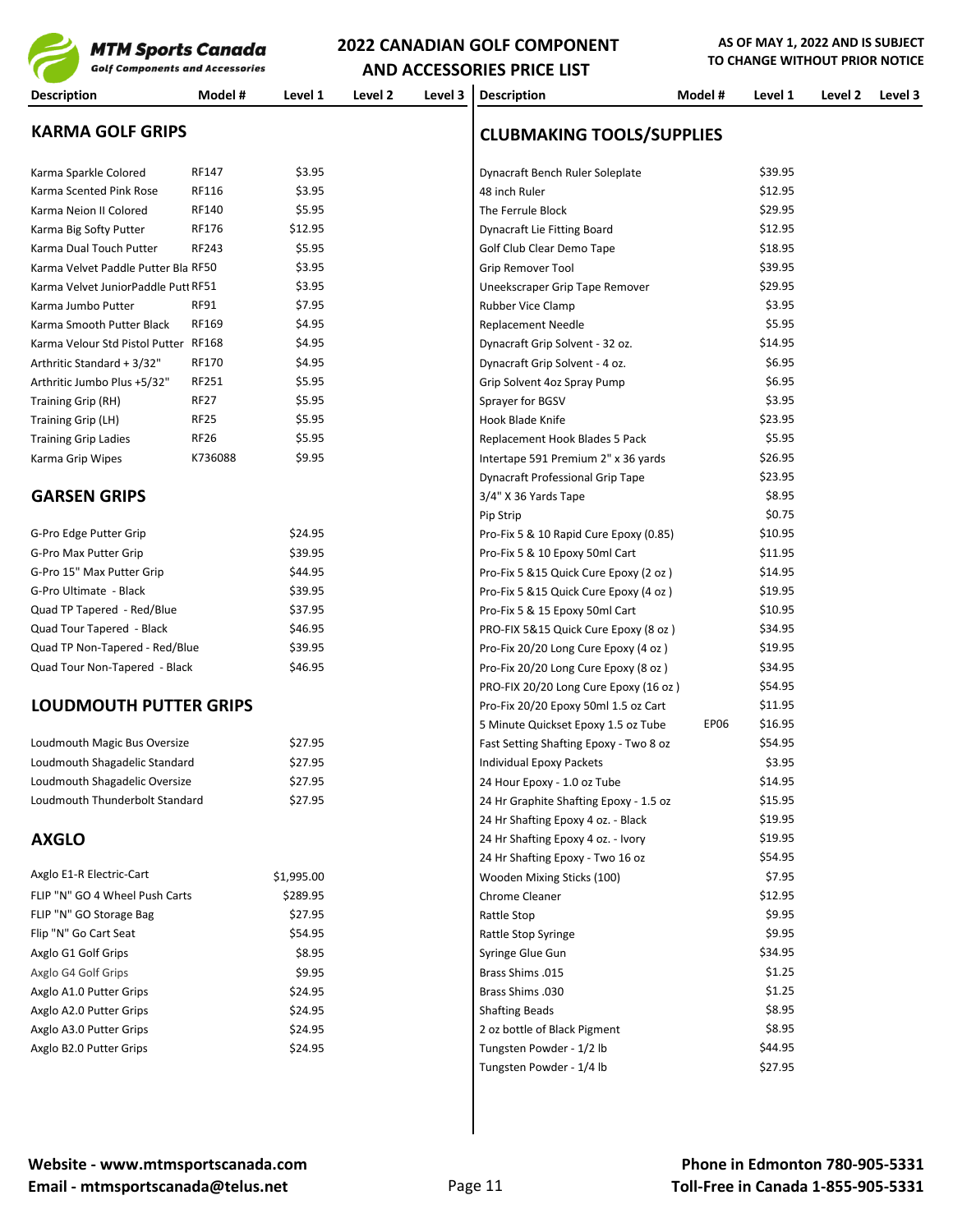

**AND ACCESSORIES PRICE LIST Description Model # Level 1 Level 2 Level 3 Description Model # Level 1 Level 2 Level 3 KARMA GOLF GRIPS CLUBMAKING TOOLS/SUPPLIES** Karma Sparkle Colored RF147 \$3.95 \$3.95 Dynacraft Bench Ruler Soleplate \$39.95 Karma Scented Pink Rose RF116 \$3.95 \$3.95 48 inch Ruler \$12.95 Karma Neion II Colored RF140 \$5.95 The Ferrule Block \$29.95 Karma Big Softy Putter RF176 \$12.95 | Dynacraft Lie Fitting Board \$12.95 \$12.95 Karma Dual Touch Putter RF243 \$5.95 \$5.95 (Solf Club Clear Demo Tape \$18.95 Karma Velvet Paddle Putter Bla RF50 \$39.95 \$3.95 Grip Remover Tool \$39.95 \$39.95 Karma Velvet JuniorPaddle Putt RF51 \$3.95 \$3.95 | Uneekscraper Grip Tape Remover \$29.95 Karma Jumbo Putter RF91 \$7.95 Research RF91 \$3.95 Rubber Vice Clamp Karma Smooth Putter Black RF169 \$5.95 \$4.95 Replacement Needle \$5.95 Replacement Needle Karma Velour Std Pistol Putter RF168 \$4.95 \$4.95 | Dynacraft Grip Solvent - 32 oz. \$14.95 Arthritic Standard + 3/32" RF170 \$4.95 \$6.95 Dynacraft Grip Solvent - 4 oz. \$6.95 Arthritic Jumbo Plus +5/32" RF251 \$5.95 \$6.95 (Srip Solvent 4oz Spray Pump \$6.95 \$6.95 Training Grip (RH) RF27 \$5.95 Sprayer for BGSV \$3.95 \$3.95 Training Grip (LH) RF25 \$5.95 \$5.95 Hook Blade Knife \$23.95 \$23.95 Training Grip Ladies RF26 85.95 RF26 85.95 Replacement Hook Blades 5 Pack \$5.95 Karma Grip Wipes K736088 \$9.95 | Intertape 591 Premium 2" x 36 yards \$26.95 Dynacraft Professional Grip Tape **\$23.95 GARSEN GRIPS** \$8.95 Pip Strip  $\lesssim 0.75$ G-Pro Edge Putter Grip  $$24.95$  Pro-Fix 5 & 10 Rapid Cure Epoxy (0.85) \$10.95 G-Pro Max Putter Grip **\$31.95** \$39.95 **Pro-Fix 5 & 10 Epoxy 50ml Cart** \$11.95 G-Pro 15" Max Putter Grip  $$44.95$  Pro-Fix 5 &15 Quick Cure Epoxy (2 oz ) \$14.95 G-Pro Ultimate - Black \$19.95 \$39.95 Pro-Fix 5 &15 Quick Cure Epoxy (4 oz ) \$19.95 Quad TP Tapered - Red/Blue \$10.95 \$37.95 Pro-Fix 5 & 15 Epoxy 50ml Cart \$10.95 Quad Tour Tapered - Black \$46.95 \$46.95 PRO-FIX 5&15 Quick Cure Epoxy (8 oz ) \$34.95 Quad TP Non-Tapered - Red/Blue \$39.95 \$39.95 Pro-Fix 20/20 Long Cure Epoxy (4 oz ) \$19.95 Quad Tour Non-Tapered - Black \$46.95 \$46.95 Pro-Fix 20/20 Long Cure Epoxy (8 oz ) \$34.95 PRO-FIX 20/20 Long Cure Epoxy (16 oz ) \$54.95 **LOUDMOUTH PUTTER GRIPS Pro-Fix 20/20 Epoxy 50ml 1.5 oz Cart** \$11.95<br>5 Minute Quickset Fooxy 1.5 oz Tube **\$16.95** 5 Minute Quickset Epoxy 1.5 oz Tube Loudmouth Magic Bus Oversize \$27.95 Fast Setting Shafting Epoxy - Two 8 oz \$54.95 Loudmouth Shagadelic Standard \$27.95 Individual Epoxy Packets \$3.95 Loudmouth Shagadelic Oversize \$27.95 24 Hour Epoxy - 1.0 oz Tube \$14.95 Loudmouth Thunderbolt Standard \$27.95 24 Hr Graphite Shafting Epoxy - 1.5 oz \$15.95 24 Hr Shafting Epoxy 4 oz. - Black \$19.95 **AXGLO** \$19.95 24 Hr Shafting Epoxy - Two 16 oz \$54.95 Axglo E1-R Electric-Cart **\$1,995.00** \$1,995.00 Wooden Mixing Sticks (100) \$7.95 FLIP "N" GO 4 Wheel Push Carts \$289.95 Chrome Cleaner \$12.95 FLIP "N" GO Storage Bag \$9.95 \$27.95 Rattle Stop \$9.95 Rattle Stop \$9.95 \$9.95 Flip "N" Go Cart Seat \$9.95 \$9.95 \$54.95 Rattle Stop Syringe \$9.95 \$9.95 Axglo G1 Golf Grips 634.95 States of the States of States States States States States States States States States States States States States States States States States States States States States States States States Sta Axglo G4 Golf Grips \$1.25 \$1.25 **Brass Shims .015** Brass Shims .015 \$1.25 Axglo A1.0 Putter Grips  $$24.95$  Brass Shims .030  $$1.25$ Axglo A2.0 Putter Grips 68.95 Sandbook States \$8.95 Shafting Beads \$8.95 States \$8.95 States \$8.95 States \$8.95 Axglo A3.0 Putter Grips 68.95 22.95 2 oz bottle of Black Pigment \$8.95

Tungsten Powder -  $1/4$  lb  $$27.95$ 

Axglo B2.0 Putter Grips \$24.95 Tungsten Powder - 1/2 lb \$44.95